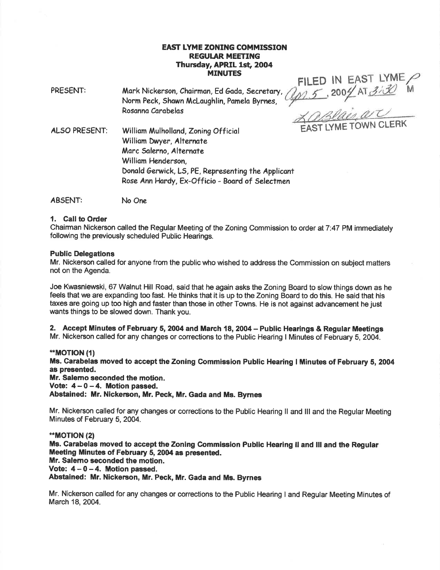# EAST IYME ZONING COMMISSION **REGULAR MEETING** Thursday, APRIL 1st, 2004<br>MINUTES MINUTES

PRESENT: Mork Nickerson, Choirmon, Ed 6odo, Secretary, Norm Peck, Shown McLoughlin, Pomelo Byrnes, Rosanna Carabelas

FILED IN ,20  $EAST$  LYME 04 AT 3130 M

ALSO PRESENT: William Mulholland, Zoning Official FAST LYME TOWN CLERK William Dwyer, Alternate Marc Salerno, Alternate Williom Henderson, Donald Gerwick, LS, PE, Representing the Applicant Rose Ann Hardy, Ex-Officio - Board of Selectmen

ABSENT: No One

### 1. Call to Order

Chairman Nickerson called the Regular Meeting of the Zoning Commission to order at 7:47 PM immediately following the previously scheduled Public Hearings.

### Public Delegations

Mr. Nickerson called for anyone from the public who wished to address the Commission on subject matters not on the Agenda.

Joe Kwasniewski, 67 Walnut Hill Road, said that he again asks the Zoning Board to slow things down as he feels that we are expanding too fast. He thinks that it is up to the Zoning Board to do this. He said that his taxes are going up too high and faster than those in other Towns. He is not against advancement he just wants things to be slowed down. Thank you.

2. Accept Minutes of February 5, 2004 and March 18, 2004 - Public Hearings & Regular Meetings

Mr. Nickerson called for any changes or corrections to the Public Hearing I Minutes of February 5,2004.

### \*\*MOTION (1)

Ms. Carabelae moved to accept the Zoning Commission Public Hearing I Minutes of February 5,2004 as presented.

Mr. Salemo seconded the motion.

Vote:  $4-0-4$ . Motion passed.

Abstained: Mr. Nickerson, Mr. Peck, Mr. Gada and Ms. Byrnes

Mr. Nickerson called for any changes or corrections to the Public Hearing ll and lll and the Regular Meeting Minutes of February 5, 2004.

\*MOT|ON (2) Ms. Carabelas moved to accept the Zoning Commission Public Hearing II and III and the Regular Meeting Minutes of February 5, 2004 as presented. Mr. Salemo seconded the motion. Vote:  $4-0-4$ . Motion passed. Abstained: Mr. Nickerson, Mr. Peck, Mr. Gada and Ms. Byrnes

Mr. Nickerson called for any changes or corrections to the Public Hearing I and Regular Meeting Minutes of March 18, 2004.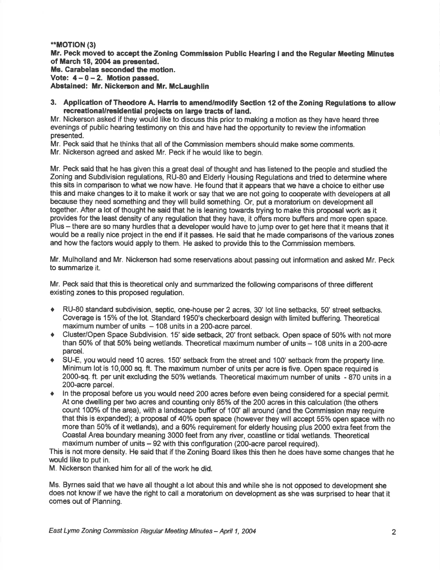## \*\*MOTION (3)

Mr. Peck moved to accept the Zoning Commission Public Hearing I and the Regular Meeting Minutes of March 18, 2004 as presented. Ms. Carabelas seconded the motion, Vote:  $4 - 0 - 2$ . Motion passed.

Abstained: Mr. Nickerson and Mr. McLaughlin

3. Application of Theodore A. Harris to amend/modify Section 12 of the Zoning Regulations to allow recreational/residential projects on large tracts of land.

Mr. Nickerson asked if they would like to discuss this prior to making a motion as they have heard three evenings of public hearing testimony on this and have had the opportunity to review the information presented.

Mr. Peck said that he thinks that all of the Commission members should make some comments.

Mr. Nickerson agreed and asked Mr. Peck if he would like to begin.

Mr. Peck said that he has given this a great deal of thought and has listened to the people and studied the Zoning and Subdivision regulations, RU-80 and Elderly Housing Regulations and tried to determine where this sits in comparison to what we now have. He found that it appears that we have a choice to either use this and make changes to it to make it work or say that we are not going to cooperate with developers at all because they need something and they will build something. Or, put a moratorium on development all together. After a lot of thought he said that he is leaning towards trying to make this proposal work as it provides for the least density of any regulation that they have, it offers more buffers and more open space. Plus - there are so many hurdles that a developer would have to jump over to get here that it means that it would be a really nice project in the end if it passes. He said that he made comparisons of the various zones and how the factors would apply to them. He asked to provide this to the Commission members.

Mr. Mulholland and Mr. Nickerson had some reservations about passing out information and asked Mr. Peck to summarize it.

Mr. Peck said that this is theoretical only and summarized the following comparisons of three different existing zones to this proposed regulation.

- RU-80 standard subdivision, septic, one-house per 2 acres, 30' lot line setbacks, 50' street setbacks. Coverage is 15% of the lot. Standard 1950's checkerboard design with limited buffering. Theoretical maximum number of units  $-108$  units in a 200-acre parcel.
- Cluster/Open Space Subdivision. 15' side setback, 20' front setback. Open space of 50% with not more than 50% of that 50% being wetlands. Theoretical maximum number of units - 108 units in a 200-acre parcel.
- SU-E, you would need 10 acres. 150' setback from the street and 100' setback from the property line. Minimum lot is '10,000 sq. ft. The maximum number of units per acre is five. Open space required is 2000-sq. ft. per unit excluding the 50% wetlands. Theoretical maximum number of units - 870 units in a 200-acre parcel.
- In the proposal before us you would need 200 acres before even being considered for a special permit. At one dwelling per two acres and counting only 85% of the 200 acres in this calculation (the others count 100% of the area), with a landscape buffer of 100' all around (and the Commission may require that this is expanded); a proposal of 40% open space (however they will accept 55% open space with no more than 50% of it wetlands), and a 60% requirement for elderly housing plus 2000 extra feet from the Coastal Area boundary meaning 3000 feet from any river, coastline or tidal wetlands. Theoretical maximum number of units  $-92$  with this configuration (200-acre parcel required).

This is not more density. He said that if the Zoning Board likes this then he does have some changes that he would like to put in.

M. Nickerson thanked him for all of the work he did.

Ms. Byrnes said that we have all thought a lot about this and while she is not opposed to development she does not know if we have the right to call a moratorium on development as she was surprised to hear that it comes out of Planning.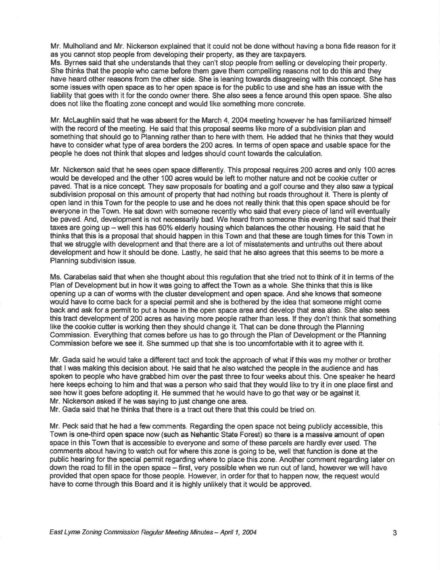Mr. Mulholland and Mr. Nickerson explained that it could not be done without having a bona fide reason for it as you cannot stop people from developing their property, as they are taxpayers.

Ms. Byrnes said that she understands that they can't stop people from selling or developing their property. She thinks that the people who came before them gave them compelling reasons not to do this and they have heard other reasons from the other side. She is leaning towards disagreeing with this concept. She has some issues with open space as to her open space is for the public to use and she has an issue with the liability that goes with it for the condo omer there. She also sees a fence around this open space. She also does not like the floating zone concept and would like something more concrete.

Mr. Mclaughlin said that he was absent for the March 4,2004 meeting however he has familiarized himself with the record of the meeting. He said that this proposal seems like more of a subdivision plan and something that should go to Planning rather than to here with them. He added that he thinks that they would have to consider what type of area borders the 200 acres. ln terms of open space and usable space for the people he does not think that slopes and ledges should count towards the calculation.

Mr. Nickerson said that he sees open space differently. This proposal requires 200 acres and only 100 acres would be developed and the other 100 acres would be left to mother nature and not be cookie cutter or paved. That is a nice concept. They saw proposals for boating and a golf course and they also saw a typical subdivision proposal on this amount of property that had nothing but roads throughout it. There is plenty of open land in this Town for the people to use and he does not really think that this open space should be for everyone in the Town. He sat down with someone recently who said that every piece of land willeventually be paved. And, development is not necessarily bad. We heard from someone this evening that said that their taxes are going up  $-$  well this has 60% elderly housing which balances the other housing. He said that he thinks that this is a proposal that should happen in this Town and that these are tough times for this Town in that we struggle with development and that there are a lot of misstatements and untruths out there about development and how it should be done. Lastly, he said that he also agrees that this seems to be more a Planning subdivision issue.

Ms. Carabelas said that when she thought about this regulation that she tried not to think of it in terms of the Plan of Development but in how it was going to affect the Town as a whole. She thinks that this is like opening up a can of worms with the cluster development and open space. And she knows that someone would have to come back for a special permit and she is bothered by the idea that someone might come back and ask for a permit to put a house in the open space area and develop that area also. She also sees this tract development of 200 acres as having more people rather than less. lf they don't think that something like the cookie cutter is working then they should change it. That can be done through the Planning Commission. Everything that comes before us has to go through the Plan of Development or the Planning Commission before we see it. She summed up that she is too uncomfortable with it to agree with it.

Mr. Gada said he would take a different tact and took the approach of what if this was my mother or brother that I was making this decision about. He said that he also watched the people in the audience and has spoken to people who have grabbed him over the past three to four weeks about this. One speaker he heard here keeps echoing to him and that was a person who said that they would like to try it in one place first and see how it goes before adopting it. He summed that he would have to go that way or be against it. Mr. Nickerson asked if he was saying to just change one area.

Mr. Gada said that he thinks that there is a tract out there that this could be tried on.

Mr. Peck said that he had a few comments. Regarding the open space not being publicly accessible, this Town is one-third open space now (such as Nehantic State Forest) so there is a massive amount of open space in this Town that is accessible to everyone and some of these parcels are hardly ever used. The comments about having to watch out for where this zone is going to be, well that function is done at the public hearing for the special permit regarding where to place this zone. Another comment regarding later on down the road to fill in the open space – first, very possible when we run out of land, however we will have provided that open space for those people. However, in order for that to happen now, the request would have to come through this Board and it is highly unlikely that it would be approved.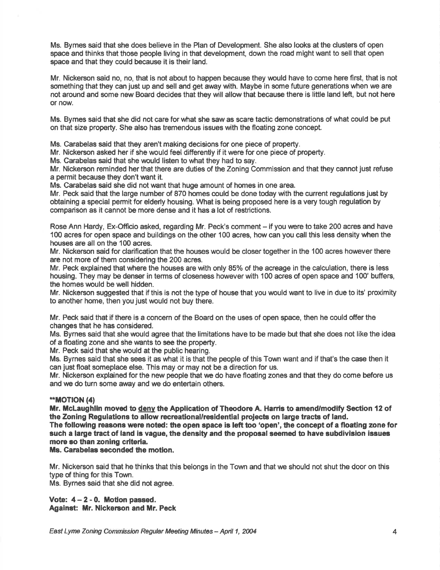Ms. Bymes said that she does believe in the Plan of Development, She also looks at the clusters of open space and thinks that those people living in that development, down the road mlght want to sell that open space and that they could because it is their land.

Mr. Nickerson said no, no, that is not about to happen because they would have to come here first, that is not something that they can just up and sell and get away with. Maybe in some future generations when we are not around and some new Board decides that they will allow that because there is little land left, but not here or now.

Ms. Bymes said that she did not care for what she saw as scare tactic demonstrations of what could be put on that size property. She also has tremendous issues with the floating zone concept.

Ms. Carabelas said that they aren't making decisions for one piece of property.

Mr. Nickerson asked her if she would feel differently if it were for one piece of property.

Ms. Carabelas said that she would listen to what they had to say.

Mr. Nickerson reminded her that there are duties of the Zoning Commission and that they cannot just refuse a permit because they don't want it.

Ms, Carabelas said she did not want that huge amount of homes in one area.

Mr. Peck said that the large number of 870 homes could be done today with the current regulations just by obtaining a special permit for elderly housing. What is being proposed here is a very tough regulation by comparison as it cannot be more dense and it has a lot of restrictions.

Rose Ann Hardy, Ex-Officio asked, regarding Mr. Peck's comment – if you were to take 200 acres and have 100 acres for open space and buildings on the other 100 acres, how can you call this less density when the houses are all on the 100 acres.

Mr. Nickerson said for clarification that the houses would be closer together in the 100 acres however there are not more of them considering the 200 acres.

Mr. Peck explained that where the houses are with only 85% of the acreage in the calculation, there is less housing. They may be denser in terms of closeness however with 100 acres of open space and 100' buffers, the homes would be well hidden.

Mr. Nickerson suggested that if this is not the type of house that you would uant to live in due to its' proximity to another home, then you just would not buy there.

Mr. Peck said that if there is a concem of the Board on the uses of open space, then he could offer the changes that he has considered.

Ms. Bymes said that she would agree that the limitations have to be made but that she does not like the idea of a floating zone and she wants to see the property.

Mr. Peck said that she would at the public hearing.

Ms. Byrnes said that she sees it as what it is that the people of this Town want and if that's the case then it can just float someplace else. This may or may not be a direction for us.

Mr. Nickerson explained for the new people that we do have floating zones and that they do come before us and we do turn some away and we do entertain others.

# \*\*MOTION (4)

Mr. McLaughlin moved to deny the Application of Theodore A. Harris to amend/modify Section 12 of the Zoning Regulations to allow recreational/residential projects on large tracts of land.

The following reasons were noted: the open space is left too 'open', the concept of a floating zone for such a large tract of land is vague, the density and the proposal seemed to have subdivision issues more 8o than zoning criteria,

Ms. Carabelas seconded the motion.

Mr. Nickerson said that he thinks that this belongs in the Town and that we should not shut the door on this type cf thing for this Town. Ms. Byrnes said that she did not agree.

Vote:  $4 - 2 - 0$ . Motion passed. Against: Mr. Nickerson and Mr. Peck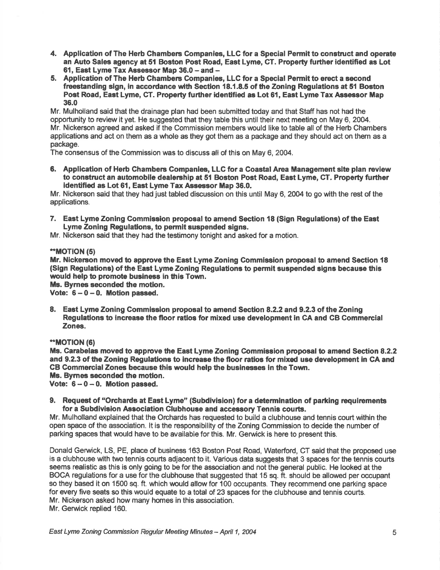- 4. Appllcation of The Herb Ghambers Companies, LLC for a Special Permit to construct and operate an Auto Sales agoncy at 51 Boston Post Road, East Lyme, GT. Property further identified as Lot 61, East Lyme Tax Assessor Map 36.0 - and -
- 5. Application of The Herb Chambers Companies, LLC for a Special Permit to erect a second freestanding sign, in accordance with Section 18.1.8.5 of the Zoning Regulations at 51 Boston Post Road, East Lyme, CT. Property further identified as Lot 61, East Lyme Tax Assessor Map 36.0

Mr. Mulholland said that the drainage plan had been submitted today and that Staff has not had the opportunity to review it yet. He suggested that they table this until their next meeting on May 6, 2004. Mr. Nickerson agreed and asked if the Commission members would like to table all of the Herb Chambers applications and act on them as a whole as they got them as a package and they should act on them as a package.

The consensus of the Commission was to discuss all of this on May 6,2004.

6. Application of Herb Chambers Companies, LLC for a Coastal Area Management site plan review to construct an automobile dealership at 51 Boston Post Road, East Lyme, CT. Property further identified as Lot 61, East Lyme Tax Assessor Map 36.0.

Mr. Nickerson said that they had just tabled discussion on this until May 6, 2004 to go with the rest of the applications.

7. East Lyme Zoning Commission proposal to amend Section 18 (Sign Regulations) of the East Lyme Zoning Regulations, to permit suspended signs.

Mr. Nickerson said that they had the testimony tonight and asked for a motion.

### \*\*MOTION (5)

Mr. Nickerson moved to approve the East Lyme Zoning Commission proposal to amend Section 18 (Sign Regulations) of the East Lyme Zoning Regulafions to permit suspended signe because this would help to promote businese in this Town.

Ms. Byrnes seconded the motion.

Vote:  $6-0-0$ . Motion passed.

8. East Lyme Zoning Commission proposal to amend Section 8.2.2 and 9.2.3 of the Zoning Regulations to increase the floor ratios for mixed use development in CA and CB Commercial Zones.

## \*MOT|ON (6)

Ms. Carabelas moved to approve the East Lyme Zoning Commission proposal to amend Section 8.2.2 and 9.2.3 of the Zoning Regulations to increase the floor ratios for mixed use development in CA and GB Gommercial Zones because this would help the businesses in the Town. Ms. Byrnes seconded the motion.

Vote:  $6-0-0$ . Motion passed.

9. Request of "Orchards at East Lyme" (Subdivision) for a determination of parking requirements for a Subdivision Association Clubhouse and accessory Tennis courts.

Mr. Mulholland explained that the Orchards has requested to build a clubhouse and tennis court within the open space of the association. lt is the responsibility of the Zoning Commission to decide the number of parking spaces that would have to be available for this. Mr. Gerwick is here to present this.

Donald Gerwick, LS, PE, place of business 163 Boston Post Road, Waterford, CT said that the proposed use is a clubhouse with two tennis courts adjacent to it. Various data suggests that 3 spaces for the tennis courts seems realistic as this is only going to be for the association and not the general public. He looked at the BOCA regulations for a use for the clubhouse that suggested that 15 sq. ft. should be allowed per occupant so they based it on 1500 sq. ft. which would allow for 100 occupants. They recommend one parking space for every five seats so this would equate to a total of 23 spaces for the clubhouse and tennis courts. Mr. Nickerson asked how many homes in this association. Mr. Gerwick replied 160.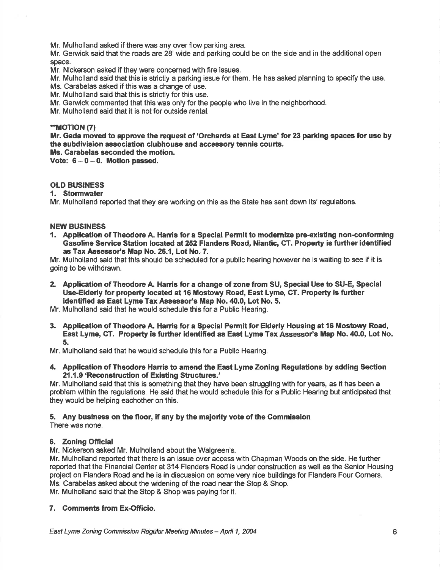Mr. Mulholland asked if there was any over flow parking area.

Mr. Gerwick said that the roads are 28'wide and parking could be on the side and in the additional open space.

Mr. Nickerson asked if they were concerned with fire issues.

Mr. Mulholland said that this is strictly a parking issue for them. He has asked planning to specify the use.

Ms. Carabelas asked if this was a change of use.

Mr. Mulholland said that this is strictly for this use.

Mr. Gerwick commented that this was only for the people who live in the neighborhood.

Mr. Mulholland said that it is not for outside rental.

## ."MOT|ON (7)

Mr. Gada moved to approve the request of 'Orchards at East Lyme' for 23 parking spaces for use by the subdivision association clubhouse and accessory tennis courts.

Ms. Carabelas seconded the motion.

Vote:  $6 - 0 - 0$ . Motion passed.

# OLD BUSINESS

## 1. Stormwater

Mr. Mulholland reported that they are working on this as the State has sent down its' regulations.

### NEW BUSINESS

1. Application of Theodore A. Harris for a Special Permit to modernize pre-existing non-conforming Gasoline Seryice Station located a1252 Flanders Road, Niantic, CT. Property is further identified as Tax Assessor's Map No. 26.1, Lot No. 7.

Mr. Mulholland said that this should be scheduled for a public hearing however he is waiting to see if it is going to be withdrawn.

- 2. Application of Theodore A. Harris for a change of zone from SU, Special Use to SU-E, Special Use-Elderly for property located at 16 Mostowy Road, East Lyme, CT. Property is further identified as East Lyme Tax Assessor's Map No. 40.0, Lot No. 5.
- Mr. Mulholland said that he would schedule this for a Public Hearing.
- 3. Application of Theodore A. Harris for a Special Permit for Elderly Housing at 16 Mostowy Road, East Lyme, CT. Property is further identified as East Lyme Tax Assessor's Map No. 40.0, Lot No. 5.

Mr. Mulholland said that he would schedule this for a Public Hearing.

4. Application of Theodore Harris to amend the East Lyme Zoning Regulations by adding Section 21.1.9 'Reconstruction of Existing Structures.'

Mr. Mulholland said that this is something that they have been struggling with for years, as it has been a problem within the regulations. He said that he would schedule this for a Public Hearing but anticipated that they would be helping eachother on this.

### 5. Any businees on the floor, if any by the maiorlty vote of the Commission There was none.

## 6. Zoning Official

Mr. Nickerson asked Mr. Mulholland about the Walgreen's.

Mr. Mulholland reported that there is an issue over access with Chapman Woods on the side. He further reported that the Financial Center at 314 Flanders Road is under construction as well as the Senior Housing project on Flanders Road and he is in discussion on some very nice buildings for Flanders Four Gorners. Ms. Garabelas asked about the widening of the road near the Stop & Shop.

Mr. Mulholland said that the Stop & Shop was paying for it.

# 7. Comments from Ex-Officio.